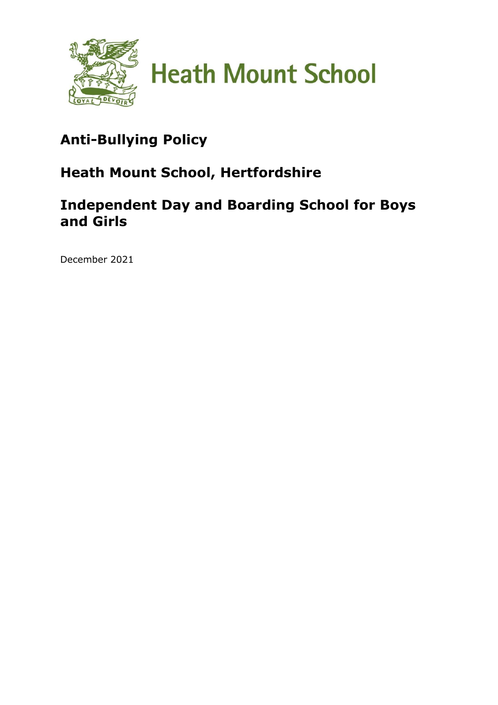

# **Anti-Bullying Policy**

# **Heath Mount School, Hertfordshire**

# **Independent Day and Boarding School for Boys and Girls**

December 2021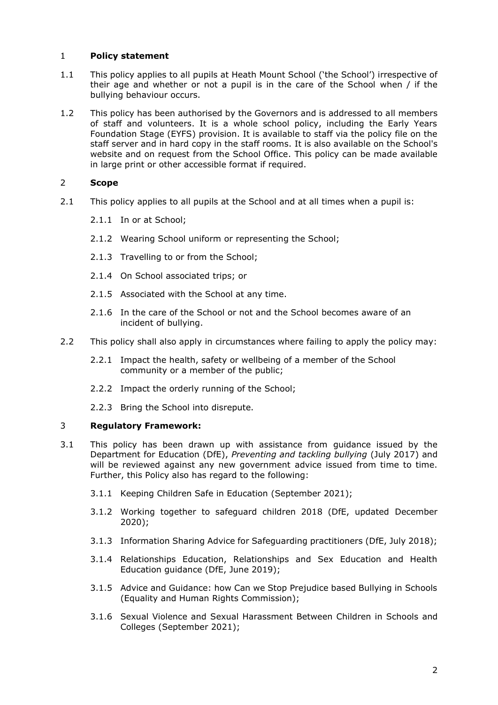# 1 **Policy statement**

- 1.1 This policy applies to all pupils at Heath Mount School ('the School') irrespective of their age and whether or not a pupil is in the care of the School when / if the bullying behaviour occurs.
- 1.2 This policy has been authorised by the Governors and is addressed to all members of staff and volunteers. It is a whole school policy, including the Early Years Foundation Stage (EYFS) provision. It is available to staff via the policy file on the staff server and in hard copy in the staff rooms. It is also available on the School's website and on request from the School Office. This policy can be made available in large print or other accessible format if required.

# 2 **Scope**

- 2.1 This policy applies to all pupils at the School and at all times when a pupil is:
	- 2.1.1 In or at School;
	- 2.1.2 Wearing School uniform or representing the School;
	- 2.1.3 Travelling to or from the School;
	- 2.1.4 On School associated trips; or
	- 2.1.5 Associated with the School at any time.
	- 2.1.6 In the care of the School or not and the School becomes aware of an incident of bullying.
- 2.2 This policy shall also apply in circumstances where failing to apply the policy may:
	- 2.2.1 Impact the health, safety or wellbeing of a member of the School community or a member of the public;
	- 2.2.2 Impact the orderly running of the School;
	- 2.2.3 Bring the School into disrepute.

#### 3 **Regulatory Framework:**

- 3.1 This policy has been drawn up with assistance from guidance issued by the Department for Education (DfE), *Preventing and tackling bullying* (July 2017) and will be reviewed against any new government advice issued from time to time. Further, this Policy also has regard to the following:
	- 3.1.1 Keeping Children Safe in Education (September 2021);
	- 3.1.2 Working together to safeguard children 2018 (DfE, updated December 2020);
	- 3.1.3 Information Sharing Advice for Safeguarding practitioners (DfE, July 2018);
	- 3.1.4 Relationships Education, Relationships and Sex Education and Health Education guidance (DfE, June 2019);
	- 3.1.5 Advice and Guidance: how Can we Stop Prejudice based Bullying in Schools (Equality and Human Rights Commission);
	- 3.1.6 Sexual Violence and Sexual Harassment Between Children in Schools and Colleges (September 2021);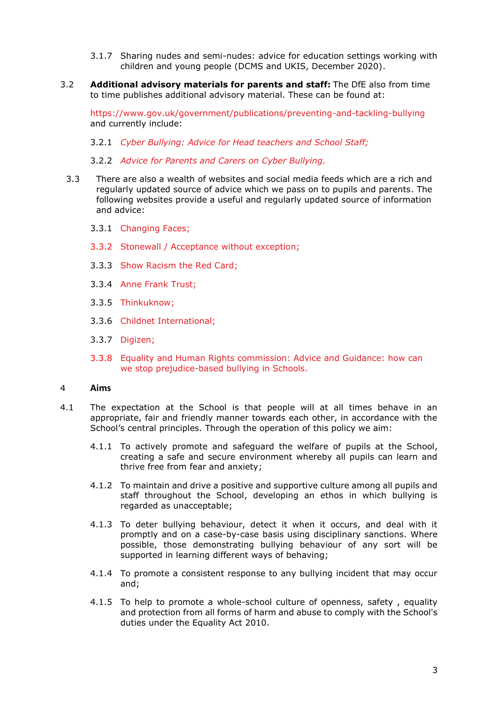- 3.1.7 Sharing nudes and semi-nudes: advice for education settings working with children and young people (DCMS and UKIS, December 2020).
- 3.2 **Additional advisory materials for parents and staff:** The DfE also from time to time publishes additional advisory material. These can be found at:

<https://www.gov.uk/government/publications/preventing-and-tackling-bullying> and currently include:

- 3.2.1 *[Cyber Bullying: Advice for Head teachers and School Staff;](https://www.gov.uk/government/publications/preventing-and-tackling-bullying)*
- 3.2.2 *[Advice for Parents and Carers on Cyber Bullying.](https://www.gov.uk/government/publications/preventing-and-tackling-bullying)*
- 3.3 There are also a wealth of websites and social media feeds which are a rich and regularly updated source of advice which we pass on to pupils and parents. The following websites provide a useful and regularly updated source of information and advice:
	- 3.3.1 [Changing Faces;](https://www.changingfaces.org.uk/about-changing-faces/)
	- 3.3.2 [Stonewall / Acceptance without exception;](https://www.stonewall.org.uk/resources/acceptance-without-exception-worldwide-2016)
	- 3.3.3 [Show Racism the Red Card;](https://www.theredcard.org/)
	- 3.3.4 [Anne Frank Trust;](https://annefrank.org.uk/)
	- 3.3.5 [Thinkuknow;](https://www.thinkuknow.co.uk/)
	- 3.3.6 [Childnet International;](https://www.childnet.com/)
	- 3.3.7 [Digizen;](https://www.digizen.org/)
	- 3.3.8 [Equality and Human Rights commission: Advice and Guidance: how can](https://www.equalityhumanrights.com/en/advice-and-guidance/how-can-we-stop-prejudice-based-bullying-schools)  [we stop prejudice-based bullying in Schools.](https://www.equalityhumanrights.com/en/advice-and-guidance/how-can-we-stop-prejudice-based-bullying-schools)

#### 4 **Aims**

- 4.1 The expectation at the School is that people will at all times behave in an appropriate, fair and friendly manner towards each other, in accordance with the School's central principles. Through the operation of this policy we aim:
	- 4.1.1 To actively promote and safeguard the welfare of pupils at the School, creating a safe and secure environment whereby all pupils can learn and thrive free from fear and anxiety;
	- 4.1.2 To maintain and drive a positive and supportive culture among all pupils and staff throughout the School, developing an ethos in which bullying is regarded as unacceptable;
	- 4.1.3 To deter bullying behaviour, detect it when it occurs, and deal with it promptly and on a case-by-case basis using disciplinary sanctions. Where possible, those demonstrating bullying behaviour of any sort will be supported in learning different ways of behaving;
	- 4.1.4 To promote a consistent response to any bullying incident that may occur and;
	- 4.1.5 To help to promote a whole-school culture of openness, safety , equality and protection from all forms of harm and abuse to comply with the School's duties under the Equality Act 2010.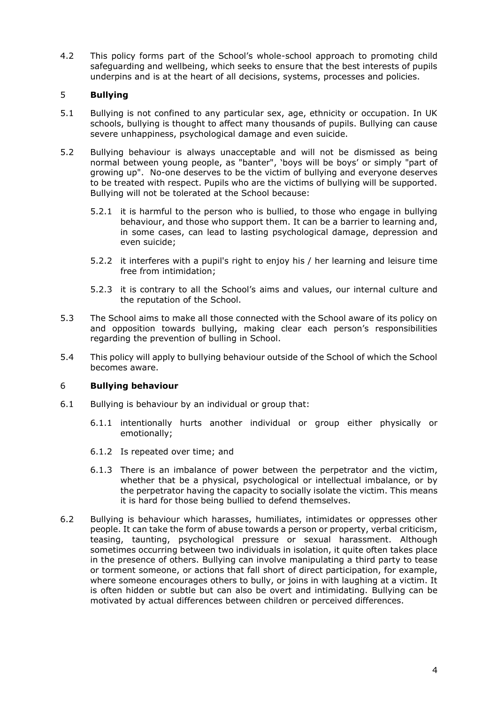4.2 This policy forms part of the School's whole-school approach to promoting child safeguarding and wellbeing, which seeks to ensure that the best interests of pupils underpins and is at the heart of all decisions, systems, processes and policies.

# 5 **Bullying**

- 5.1 Bullying is not confined to any particular sex, age, ethnicity or occupation. In UK schools, bullying is thought to affect many thousands of pupils. Bullying can cause severe unhappiness, psychological damage and even suicide.
- 5.2 Bullying behaviour is always unacceptable and will not be dismissed as being normal between young people, as "banter", 'boys will be boys' or simply "part of growing up". No-one deserves to be the victim of bullying and everyone deserves to be treated with respect. Pupils who are the victims of bullying will be supported. Bullying will not be tolerated at the School because:
	- 5.2.1 it is harmful to the person who is bullied, to those who engage in bullying behaviour, and those who support them. It can be a barrier to learning and, in some cases, can lead to lasting psychological damage, depression and even suicide;
	- 5.2.2 it interferes with a pupil's right to enjoy his / her learning and leisure time free from intimidation;
	- 5.2.3 it is contrary to all the School's aims and values, our internal culture and the reputation of the School.
- 5.3 The School aims to make all those connected with the School aware of its policy on and opposition towards bullying, making clear each person's responsibilities regarding the prevention of bulling in School.
- 5.4 This policy will apply to bullying behaviour outside of the School of which the School becomes aware.

# 6 **Bullying behaviour**

- 6.1 Bullying is behaviour by an individual or group that:
	- 6.1.1 intentionally hurts another individual or group either physically or emotionally;
	- 6.1.2 Is repeated over time; and
	- 6.1.3 There is an imbalance of power between the perpetrator and the victim, whether that be a physical, psychological or intellectual imbalance, or by the perpetrator having the capacity to socially isolate the victim. This means it is hard for those being bullied to defend themselves.
- 6.2 Bullying is behaviour which harasses, humiliates, intimidates or oppresses other people. It can take the form of abuse towards a person or property, verbal criticism, teasing, taunting, psychological pressure or sexual harassment. Although sometimes occurring between two individuals in isolation, it quite often takes place in the presence of others. Bullying can involve manipulating a third party to tease or torment someone, or actions that fall short of direct participation, for example, where someone encourages others to bully, or joins in with laughing at a victim. It is often hidden or subtle but can also be overt and intimidating. Bullying can be motivated by actual differences between children or perceived differences.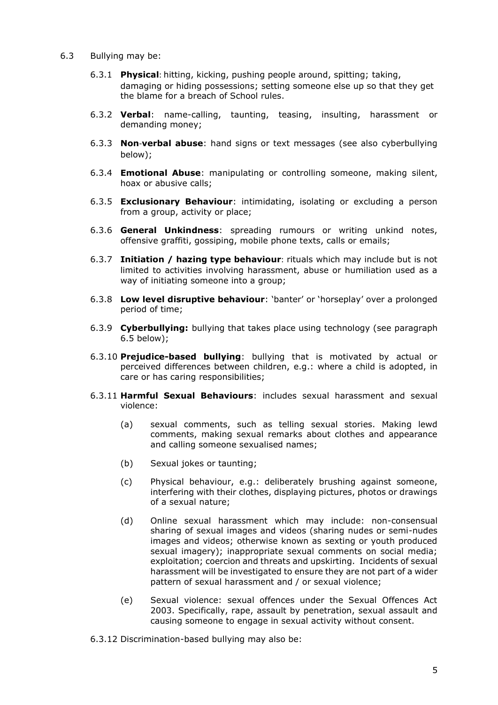- 6.3 Bullying may be:
	- 6.3.1 **Physical**: hitting, kicking, pushing people around, spitting; taking, damaging or hiding possessions; setting someone else up so that they get the blame for a breach of School rules.
	- 6.3.2 **Verbal**: name-calling, taunting, teasing, insulting, harassment or demanding money;
	- 6.3.3 **Non**-**verbal abuse**: hand signs or text messages (see also cyberbullying below);
	- 6.3.4 **Emotional Abuse**: manipulating or controlling someone, making silent, hoax or abusive calls;
	- 6.3.5 **Exclusionary Behaviour**: intimidating, isolating or excluding a person from a group, activity or place;
	- 6.3.6 **General Unkindness**: spreading rumours or writing unkind notes, offensive graffiti, gossiping, mobile phone texts, calls or emails;
	- 6.3.7 **Initiation / hazing type behaviour**: rituals which may include but is not limited to activities involving harassment, abuse or humiliation used as a way of initiating someone into a group;
	- 6.3.8 **Low level disruptive behaviour**: 'banter' or 'horseplay' over a prolonged period of time;
	- 6.3.9 **Cyberbullying:** bullying that takes place using technology (see paragraph 6.5 below);
	- 6.3.10 **Prejudice-based bullying**: bullying that is motivated by actual or perceived differences between children, e.g.: where a child is adopted, in care or has caring responsibilities;
	- 6.3.11 **Harmful Sexual Behaviours**: includes sexual harassment and sexual violence:
		- (a) sexual comments, such as telling sexual stories. Making lewd comments, making sexual remarks about clothes and appearance and calling someone sexualised names;
		- (b) Sexual jokes or taunting;
		- (c) Physical behaviour, e.g.: deliberately brushing against someone, interfering with their clothes, displaying pictures, photos or drawings of a sexual nature;
		- (d) Online sexual harassment which may include: non-consensual sharing of sexual images and videos (sharing nudes or semi-nudes images and videos; otherwise known as sexting or youth produced sexual imagery); inappropriate sexual comments on social media; exploitation; coercion and threats and upskirting. Incidents of sexual harassment will be investigated to ensure they are not part of a wider pattern of sexual harassment and / or sexual violence;
		- (e) Sexual violence: sexual offences under the Sexual Offences Act 2003. Specifically, rape, assault by penetration, sexual assault and causing someone to engage in sexual activity without consent.
	- 6.3.12 Discrimination-based bullying may also be: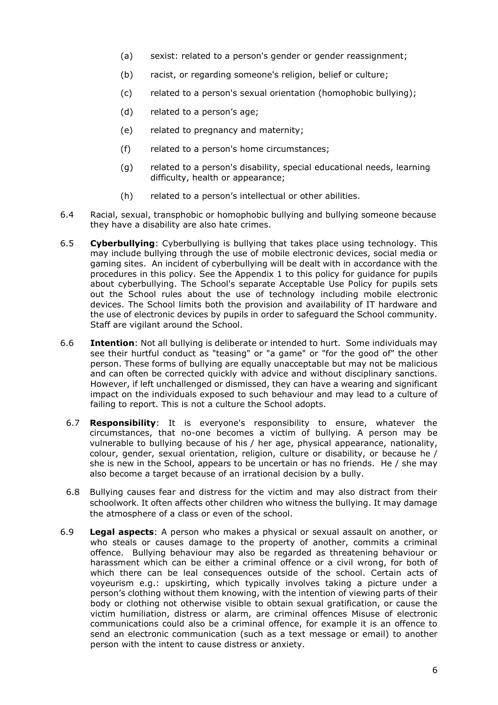- (a) sexist: related to a person's gender or gender reassignment;
- (b) racist, or regarding someone's religion, belief or culture;
- (c) related to a person's sexual orientation (homophobic bullying);
- (d) related to a person's age;
- (e) related to pregnancy and maternity;
- (f) related to a person's home circumstances;
- (g) related to a person's disability, special educational needs, learning difficulty, health or appearance;
- (h) related to a person's intellectual or other abilities.
- 6.4 Racial, sexual, transphobic or homophobic bullying and bullying someone because they have a disability are also hate crimes.
- 6.5 **Cyberbullying**: Cyberbullying is bullying that takes place using technology. This may include bullying through the use of mobile electronic devices, social media or gaming sites. An incident of cyberbullying will be dealt with in accordance with the procedures in this policy. See the [Appendix 1](#page-18-0) to this policy for guidance for pupils about cyberbullying. The School's separate Acceptable Use Policy for pupils sets out the School rules about the use of technology including mobile electronic devices. The School limits both the provision and availability of IT hardware and the use of electronic devices by pupils in order to safeguard the School community. Staff are vigilant around the School.
- 6.6 **Intention**: Not all bullying is deliberate or intended to hurt. Some individuals may see their hurtful conduct as "teasing" or "a game" or "for the good of" the other person. These forms of bullying are equally unacceptable but may not be malicious and can often be corrected quickly with advice and without disciplinary sanctions. However, if left unchallenged or dismissed, they can have a wearing and significant impact on the individuals exposed to such behaviour and may lead to a culture of failing to report. This is not a culture the School adopts.
	- 6.7 **Responsibility**: It is everyone's responsibility to ensure, whatever the circumstances, that no-one becomes a victim of bullying. A person may be vulnerable to bullying because of his / her age, physical appearance, nationality, colour, gender, sexual orientation, religion, culture or disability, or because he / she is new in the School, appears to be uncertain or has no friends. He / she may also become a target because of an irrational decision by a bully.
	- 6.8 Bullying causes fear and distress for the victim and may also distract from their schoolwork. It often affects other children who witness the bullying. It may damage the atmosphere of a class or even of the school.
- 6.9 **Legal aspects**: A person who makes a physical or sexual assault on another, or who steals or causes damage to the property of another, commits a criminal offence. Bullying behaviour may also be regarded as threatening behaviour or harassment which can be either a criminal offence or a civil wrong, for both of which there can be leal consequences outside of the school. Certain acts of voyeurism e.g.: upskirting, which typically involves taking a picture under a person's clothing without them knowing, with the intention of viewing parts of their body or clothing not otherwise visible to obtain sexual gratification, or cause the victim humiliation, distress or alarm, are criminal offences Misuse of electronic communications could also be a criminal offence, for example it is an offence to send an electronic communication (such as a text message or email) to another person with the intent to cause distress or anxiety.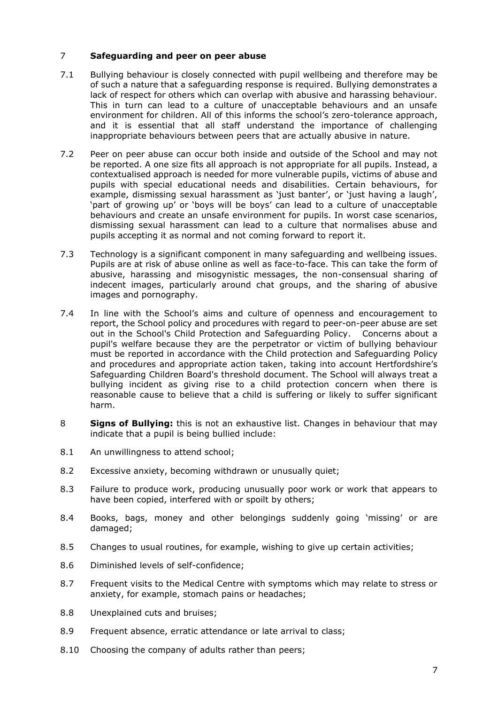# 7 **Safeguarding and peer on peer abuse**

- 7.1 Bullying behaviour is closely connected with pupil wellbeing and therefore may be of such a nature that a safeguarding response is required. Bullying demonstrates a lack of respect for others which can overlap with abusive and harassing behaviour. This in turn can lead to a culture of unacceptable behaviours and an unsafe environment for children. All of this informs the school's zero-tolerance approach, and it is essential that all staff understand the importance of challenging inappropriate behaviours between peers that are actually abusive in nature.
- 7.2 Peer on peer abuse can occur both inside and outside of the School and may not be reported. A one size fits all approach is not appropriate for all pupils. Instead, a contextualised approach is needed for more vulnerable pupils, victims of abuse and pupils with special educational needs and disabilities. Certain behaviours, for example, dismissing sexual harassment as 'just banter', or 'just having a laugh', 'part of growing up' or 'boys will be boys' can lead to a culture of unacceptable behaviours and create an unsafe environment for pupils. In worst case scenarios, dismissing sexual harassment can lead to a culture that normalises abuse and pupils accepting it as normal and not coming forward to report it.
- 7.3 Technology is a significant component in many safeguarding and wellbeing issues. Pupils are at risk of abuse online as well as face-to-face. This can take the form of abusive, harassing and misogynistic messages, the non-consensual sharing of indecent images, particularly around chat groups, and the sharing of abusive images and pornography.
- 7.4 In line with the School's aims and culture of openness and encouragement to report, the School policy and procedures with regard to peer-on-peer abuse are set out in the School's Child Protection and Safeguarding Policy. Concerns about a pupil's welfare because they are the perpetrator or victim of bullying behaviour must be reported in accordance with the Child protection and Safeguarding Policy and procedures and appropriate action taken, taking into account Hertfordshire's Safeguarding Children Board's threshold document. The School will always treat a bullying incident as giving rise to a child protection concern when there is reasonable cause to believe that a child is suffering or likely to suffer significant harm.
- 8 **Signs of Bullying:** this is not an exhaustive list. Changes in behaviour that may indicate that a pupil is being bullied include:
- 8.1 An unwillingness to attend school;
- 8.2 Excessive anxiety, becoming withdrawn or unusually quiet;
- 8.3 Failure to produce work, producing unusually poor work or work that appears to have been copied, interfered with or spoilt by others;
- 8.4 Books, bags, money and other belongings suddenly going 'missing' or are damaged;
- 8.5 Changes to usual routines, for example, wishing to give up certain activities;
- 8.6 Diminished levels of self-confidence;
- 8.7 Frequent visits to the Medical Centre with symptoms which may relate to stress or anxiety, for example, stomach pains or headaches;
- 8.8 Unexplained cuts and bruises;
- 8.9 Frequent absence, erratic attendance or late arrival to class;
- 8.10 Choosing the company of adults rather than peers;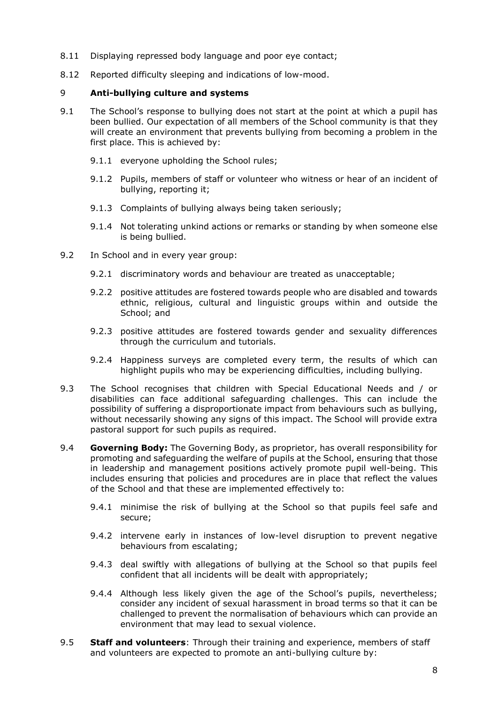- 8.11 Displaying repressed body language and poor eye contact;
- 8.12 Reported difficulty sleeping and indications of low-mood.

# 9 **Anti-bullying culture and systems**

- 9.1 The School's response to bullying does not start at the point at which a pupil has been bullied. Our expectation of all members of the School community is that they will create an environment that prevents bullying from becoming a problem in the first place. This is achieved by:
	- 9.1.1 everyone upholding the School rules;
	- 9.1.2 Pupils, members of staff or volunteer who witness or hear of an incident of bullying, reporting it;
	- 9.1.3 Complaints of bullying always being taken seriously;
	- 9.1.4 Not tolerating unkind actions or remarks or standing by when someone else is being bullied.
- 9.2 In School and in every year group:
	- 9.2.1 discriminatory words and behaviour are treated as unacceptable;
	- 9.2.2 positive attitudes are fostered towards people who are disabled and towards ethnic, religious, cultural and linguistic groups within and outside the School; and
	- 9.2.3 positive attitudes are fostered towards gender and sexuality differences through the curriculum and tutorials.
	- 9.2.4 Happiness surveys are completed every term, the results of which can highlight pupils who may be experiencing difficulties, including bullying.
- 9.3 The School recognises that children with Special Educational Needs and / or disabilities can face additional safeguarding challenges. This can include the possibility of suffering a disproportionate impact from behaviours such as bullying, without necessarily showing any signs of this impact. The School will provide extra pastoral support for such pupils as required.
- 9.4 **Governing Body:** The Governing Body, as proprietor, has overall responsibility for promoting and safeguarding the welfare of pupils at the School, ensuring that those in leadership and management positions actively promote pupil well-being. This includes ensuring that policies and procedures are in place that reflect the values of the School and that these are implemented effectively to:
	- 9.4.1 minimise the risk of bullying at the School so that pupils feel safe and secure;
	- 9.4.2 intervene early in instances of low-level disruption to prevent negative behaviours from escalating;
	- 9.4.3 deal swiftly with allegations of bullying at the School so that pupils feel confident that all incidents will be dealt with appropriately;
	- 9.4.4 Although less likely given the age of the School's pupils, nevertheless; consider any incident of sexual harassment in broad terms so that it can be challenged to prevent the normalisation of behaviours which can provide an environment that may lead to sexual violence.
- 9.5 **Staff and volunteers**: Through their training and experience, members of staff and volunteers are expected to promote an anti-bullying culture by: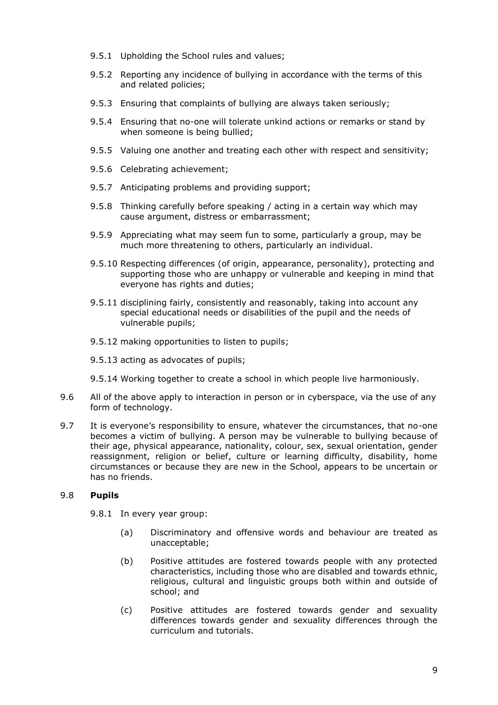- 9.5.1 Upholding the School rules and values;
- 9.5.2 Reporting any incidence of bullying in accordance with the terms of this and related policies;
- 9.5.3 Ensuring that complaints of bullying are always taken seriously;
- 9.5.4 Ensuring that no-one will tolerate unkind actions or remarks or stand by when someone is being bullied;
- 9.5.5 Valuing one another and treating each other with respect and sensitivity;
- 9.5.6 Celebrating achievement;
- 9.5.7 Anticipating problems and providing support;
- 9.5.8 Thinking carefully before speaking / acting in a certain way which may cause argument, distress or embarrassment;
- 9.5.9 Appreciating what may seem fun to some, particularly a group, may be much more threatening to others, particularly an individual.
- 9.5.10 Respecting differences (of origin, appearance, personality), protecting and supporting those who are unhappy or vulnerable and keeping in mind that everyone has rights and duties;
- 9.5.11 disciplining fairly, consistently and reasonably, taking into account any special educational needs or disabilities of the pupil and the needs of vulnerable pupils;
- 9.5.12 making opportunities to listen to pupils;
- 9.5.13 acting as advocates of pupils;
- 9.5.14 Working together to create a school in which people live harmoniously.
- 9.6 All of the above apply to interaction in person or in cyberspace, via the use of any form of technology.
- 9.7 It is everyone's responsibility to ensure, whatever the circumstances, that no-one becomes a victim of bullying. A person may be vulnerable to bullying because of their age, physical appearance, nationality, colour, sex, sexual orientation, gender reassignment, religion or belief, culture or learning difficulty, disability, home circumstances or because they are new in the School, appears to be uncertain or has no friends.

# 9.8 **Pupils**

- 9.8.1 In every year group:
	- (a) Discriminatory and offensive words and behaviour are treated as unacceptable;
	- (b) Positive attitudes are fostered towards people with any protected characteristics, including those who are disabled and towards ethnic, religious, cultural and linguistic groups both within and outside of school; and
	- (c) Positive attitudes are fostered towards gender and sexuality differences towards gender and sexuality differences through the curriculum and tutorials.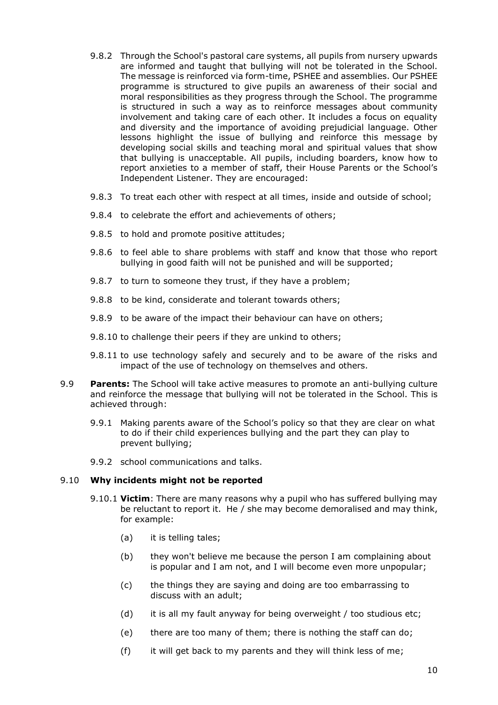- 9.8.2 Through the School's pastoral care systems, all pupils from nursery upwards are informed and taught that bullying will not be tolerated in the School. The message is reinforced via form-time, PSHEE and assemblies. Our PSHEE programme is structured to give pupils an awareness of their social and moral responsibilities as they progress through the School. The programme is structured in such a way as to reinforce messages about community involvement and taking care of each other. It includes a focus on equality and diversity and the importance of avoiding prejudicial language. Other lessons highlight the issue of bullying and reinforce this message by developing social skills and teaching moral and spiritual values that show that bullying is unacceptable. All pupils, including boarders, know how to report anxieties to a member of staff, their House Parents or the School's Independent Listener. They are encouraged:
- 9.8.3 To treat each other with respect at all times, inside and outside of school;
- 9.8.4 to celebrate the effort and achievements of others;
- 9.8.5 to hold and promote positive attitudes;
- 9.8.6 to feel able to share problems with staff and know that those who report bullying in good faith will not be punished and will be supported;
- 9.8.7 to turn to someone they trust, if they have a problem;
- 9.8.8 to be kind, considerate and tolerant towards others;
- 9.8.9 to be aware of the impact their behaviour can have on others;
- 9.8.10 to challenge their peers if they are unkind to others;
- 9.8.11 to use technology safely and securely and to be aware of the risks and impact of the use of technology on themselves and others.
- 9.9 **Parents:** The School will take active measures to promote an anti-bullying culture and reinforce the message that bullying will not be tolerated in the School. This is achieved through:
	- 9.9.1 Making parents aware of the School's policy so that they are clear on what to do if their child experiences bullying and the part they can play to prevent bullying;
	- 9.9.2 school communications and talks.

#### 9.10 **Why incidents might not be reported**

- 9.10.1 **Victim**: There are many reasons why a pupil who has suffered bullying may be reluctant to report it. He / she may become demoralised and may think, for example:
	- (a) it is telling tales;
	- (b) they won't believe me because the person I am complaining about is popular and I am not, and I will become even more unpopular;
	- (c) the things they are saying and doing are too embarrassing to discuss with an adult;
	- (d) it is all my fault anyway for being overweight / too studious etc;
	- (e) there are too many of them; there is nothing the staff can do;
	- (f) it will get back to my parents and they will think less of me;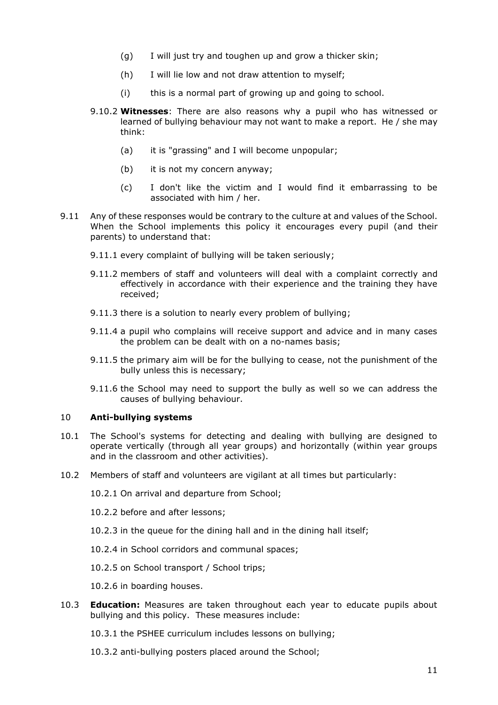- (g) I will just try and toughen up and grow a thicker skin;
- (h) I will lie low and not draw attention to myself;
- (i) this is a normal part of growing up and going to school.
- 9.10.2 **Witnesses**: There are also reasons why a pupil who has witnessed or learned of bullying behaviour may not want to make a report. He / she may think:
	- (a) it is "grassing" and I will become unpopular;
	- (b) it is not my concern anyway;
	- (c) I don't like the victim and I would find it embarrassing to be associated with him / her.
- 9.11 Any of these responses would be contrary to the culture at and values of the School. When the School implements this policy it encourages every pupil (and their parents) to understand that:
	- 9.11.1 every complaint of bullying will be taken seriously;
	- 9.11.2 members of staff and volunteers will deal with a complaint correctly and effectively in accordance with their experience and the training they have received;
	- 9.11.3 there is a solution to nearly every problem of bullying;
	- 9.11.4 a pupil who complains will receive support and advice and in many cases the problem can be dealt with on a no-names basis;
	- 9.11.5 the primary aim will be for the bullying to cease, not the punishment of the bully unless this is necessary;
	- 9.11.6 the School may need to support the bully as well so we can address the causes of bullying behaviour.

#### 10 **Anti-bullying systems**

- 10.1 The School's systems for detecting and dealing with bullying are designed to operate vertically (through all year groups) and horizontally (within year groups and in the classroom and other activities).
- 10.2 Members of staff and volunteers are vigilant at all times but particularly:

10.2.1 On arrival and departure from School;

- 10.2.2 before and after lessons;
- 10.2.3 in the queue for the dining hall and in the dining hall itself;
- 10.2.4 in School corridors and communal spaces;

10.2.5 on School transport / School trips;

10.2.6 in boarding houses.

10.3 **Education:** Measures are taken throughout each year to educate pupils about bullying and this policy. These measures include:

10.3.1 the PSHEE curriculum includes lessons on bullying;

10.3.2 anti-bullying posters placed around the School;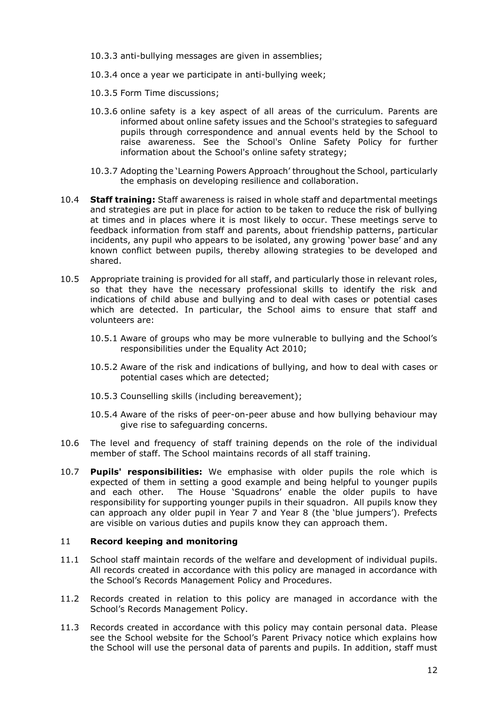- 10.3.3 anti-bullying messages are given in assemblies;
- 10.3.4 once a year we participate in anti-bullying week;
- 10.3.5 Form Time discussions;
- 10.3.6 online safety is a key aspect of all areas of the curriculum. Parents are informed about online safety issues and the School's strategies to safeguard pupils through correspondence and annual events held by the School to raise awareness. See the School's Online Safety Policy for further information about the School's online safety strategy;
- 10.3.7 Adopting the 'Learning Powers Approach' throughout the School, particularly the emphasis on developing resilience and collaboration.
- 10.4 **Staff training:** Staff awareness is raised in whole staff and departmental meetings and strategies are put in place for action to be taken to reduce the risk of bullying at times and in places where it is most likely to occur. These meetings serve to feedback information from staff and parents, about friendship patterns, particular incidents, any pupil who appears to be isolated, any growing 'power base' and any known conflict between pupils, thereby allowing strategies to be developed and shared.
- 10.5 Appropriate training is provided for all staff, and particularly those in relevant roles, so that they have the necessary professional skills to identify the risk and indications of child abuse and bullying and to deal with cases or potential cases which are detected. In particular, the School aims to ensure that staff and volunteers are:
	- 10.5.1 Aware of groups who may be more vulnerable to bullying and the School's responsibilities under the Equality Act 2010;
	- 10.5.2 Aware of the risk and indications of bullying, and how to deal with cases or potential cases which are detected;
	- 10.5.3 Counselling skills (including bereavement);
	- 10.5.4 Aware of the risks of peer-on-peer abuse and how bullying behaviour may give rise to safeguarding concerns.
- 10.6 The level and frequency of staff training depends on the role of the individual member of staff. The School maintains records of all staff training.
- 10.7 **Pupils' responsibilities:** We emphasise with older pupils the role which is expected of them in setting a good example and being helpful to younger pupils and each other. The House 'Squadrons' enable the older pupils to have responsibility for supporting younger pupils in their squadron. All pupils know they can approach any older pupil in Year 7 and Year 8 (the 'blue jumpers'). Prefects are visible on various duties and pupils know they can approach them.

#### 11 **Record keeping and monitoring**

- 11.1 School staff maintain records of the welfare and development of individual pupils. All records created in accordance with this policy are managed in accordance with the School's Records Management Policy and Procedures.
- 11.2 Records created in relation to this policy are managed in accordance with the School's Records Management Policy.
- 11.3 Records created in accordance with this policy may contain personal data. Please see the School website for the School's Parent Privacy notice which explains how the School will use the personal data of parents and pupils. In addition, staff must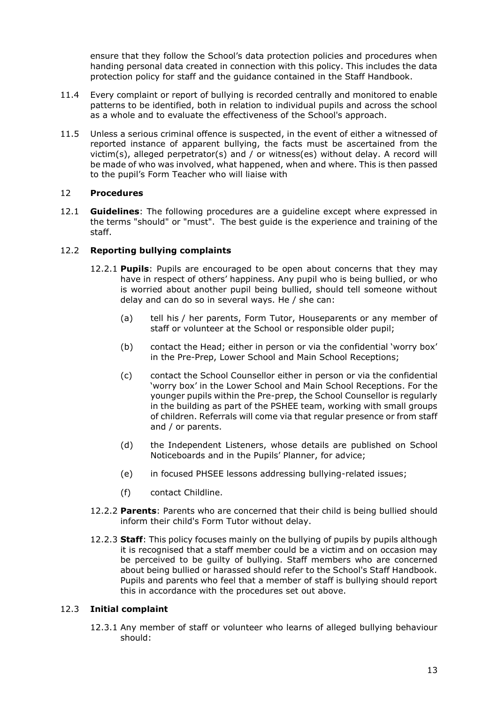ensure that they follow the School's data protection policies and procedures when handing personal data created in connection with this policy. This includes the data protection policy for staff and the guidance contained in the Staff Handbook.

- 11.4 Every complaint or report of bullying is recorded centrally and monitored to enable patterns to be identified, both in relation to individual pupils and across the school as a whole and to evaluate the effectiveness of the School's approach.
- 11.5 Unless a serious criminal offence is suspected, in the event of either a witnessed of reported instance of apparent bullying, the facts must be ascertained from the victim(s), alleged perpetrator(s) and / or witness(es) without delay. A record will be made of who was involved, what happened, when and where. This is then passed to the pupil's Form Teacher who will liaise with

# 12 **Procedures**

12.1 **Guidelines**: The following procedures are a guideline except where expressed in the terms "should" or "must". The best guide is the experience and training of the staff.

# 12.2 **Reporting bullying complaints**

- 12.2.1 **Pupils**: Pupils are encouraged to be open about concerns that they may have in respect of others' happiness. Any pupil who is being bullied, or who is worried about another pupil being bullied, should tell someone without delay and can do so in several ways. He / she can:
	- (a) tell his / her parents, Form Tutor, Houseparents or any member of staff or volunteer at the School or responsible older pupil;
	- (b) contact the Head; either in person or via the confidential 'worry box' in the Pre-Prep, Lower School and Main School Receptions;
	- (c) contact the School Counsellor either in person or via the confidential 'worry box' in the Lower School and Main School Receptions. For the younger pupils within the Pre-prep, the School Counsellor is regularly in the building as part of the PSHEE team, working with small groups of children. Referrals will come via that regular presence or from staff and / or parents.
	- (d) the Independent Listeners, whose details are published on School Noticeboards and in the Pupils' Planner, for advice;
	- (e) in focused PHSEE lessons addressing bullying-related issues;
	- (f) contact Childline.
- 12.2.2 **Parents**: Parents who are concerned that their child is being bullied should inform their child's Form Tutor without delay.
- 12.2.3 **Staff**: This policy focuses mainly on the bullying of pupils by pupils although it is recognised that a staff member could be a victim and on occasion may be perceived to be guilty of bullying. Staff members who are concerned about being bullied or harassed should refer to the School's Staff Handbook. Pupils and parents who feel that a member of staff is bullying should report this in accordance with the procedures set out above.

#### 12.3 **Initial complaint**

12.3.1 Any member of staff or volunteer who learns of alleged bullying behaviour should: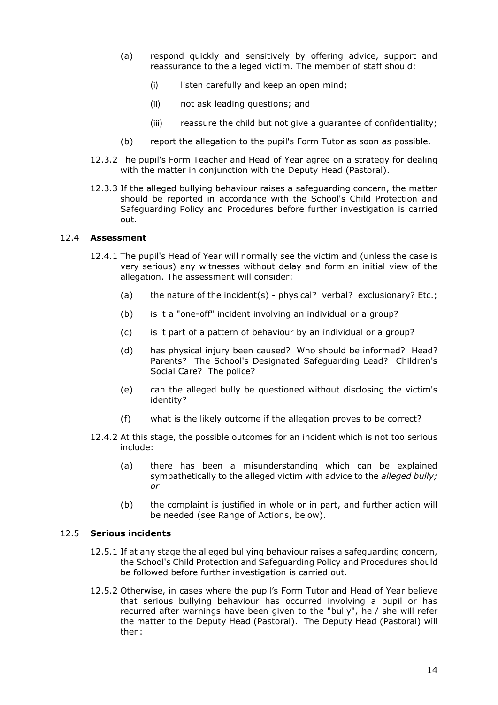- (a) respond quickly and sensitively by offering advice, support and reassurance to the alleged victim. The member of staff should:
	- (i) listen carefully and keep an open mind;
	- (ii) not ask leading questions; and
	- (iii) reassure the child but not give a guarantee of confidentiality;
- (b) report the allegation to the pupil's Form Tutor as soon as possible.
- 12.3.2 The pupil's Form Teacher and Head of Year agree on a strategy for dealing with the matter in conjunction with the Deputy Head (Pastoral).
- 12.3.3 If the alleged bullying behaviour raises a safeguarding concern, the matter should be reported in accordance with the School's Child Protection and Safeguarding Policy and Procedures before further investigation is carried out.

# 12.4 **Assessment**

- 12.4.1 The pupil's Head of Year will normally see the victim and (unless the case is very serious) any witnesses without delay and form an initial view of the allegation. The assessment will consider:
	- (a) the nature of the incident(s) physical? verbal? exclusionary? Etc.;
	- (b) is it a "one-off" incident involving an individual or a group?
	- (c) is it part of a pattern of behaviour by an individual or a group?
	- (d) has physical injury been caused? Who should be informed? Head? Parents? The School's Designated Safeguarding Lead? Children's Social Care? The police?
	- (e) can the alleged bully be questioned without disclosing the victim's identity?
	- (f) what is the likely outcome if the allegation proves to be correct?
- 12.4.2 At this stage, the possible outcomes for an incident which is not too serious include:
	- (a) there has been a misunderstanding which can be explained sympathetically to the alleged victim with advice to the *alleged bully; or*
	- (b) the complaint is justified in whole or in part, and further action will be needed (see Range of Actions, below).

#### 12.5 **Serious incidents**

- 12.5.1 If at any stage the alleged bullying behaviour raises a safeguarding concern, the School's Child Protection and Safeguarding Policy and Procedures should be followed before further investigation is carried out.
- 12.5.2 Otherwise, in cases where the pupil's Form Tutor and Head of Year believe that serious bullying behaviour has occurred involving a pupil or has recurred after warnings have been given to the "bully", he / she will refer the matter to the Deputy Head (Pastoral). The Deputy Head (Pastoral) will then: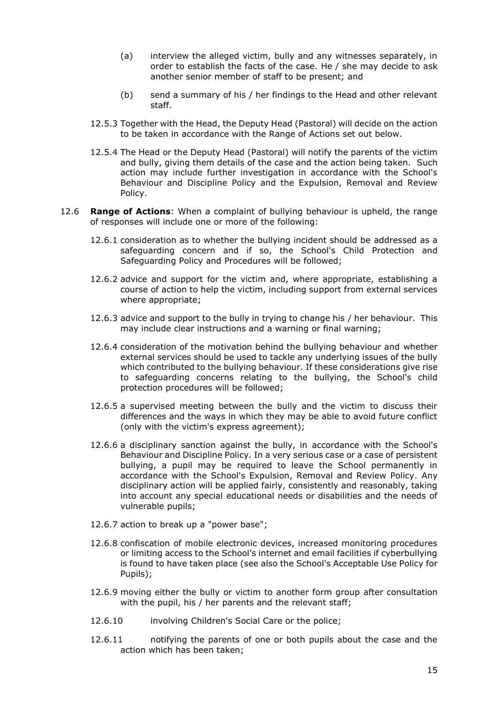- (a) interview the alleged victim, bully and any witnesses separately, in order to establish the facts of the case. He / she may decide to ask another senior member of staff to be present; and
- (b) send a summary of his / her findings to the Head and other relevant staff.
- 12.5.3 Together with the Head, the Deputy Head (Pastoral) will decide on the action to be taken in accordance with the Range of Actions set out below.
- 12.5.4 The Head or the Deputy Head (Pastoral) will notify the parents of the victim and bully, giving them details of the case and the action being taken. Such action may include further investigation in accordance with the School's Behaviour and Discipline Policy and the Expulsion, Removal and Review Policy.
- 12.6 **Range of Actions**: When a complaint of bullying behaviour is upheld, the range of responses will include one or more of the following:
	- 12.6.1 consideration as to whether the bullying incident should be addressed as a safeguarding concern and if so, the School's Child Protection and Safeguarding Policy and Procedures will be followed;
	- 12.6.2 advice and support for the victim and, where appropriate, establishing a course of action to help the victim, including support from external services where appropriate;
	- 12.6.3 advice and support to the bully in trying to change his / her behaviour. This may include clear instructions and a warning or final warning;
	- 12.6.4 consideration of the motivation behind the bullying behaviour and whether external services should be used to tackle any underlying issues of the bully which contributed to the bullying behaviour. If these considerations give rise to safeguarding concerns relating to the bullying, the School's child protection procedures will be followed;
	- 12.6.5 a supervised meeting between the bully and the victim to discuss their differences and the ways in which they may be able to avoid future conflict (only with the victim's express agreement);
	- 12.6.6 a disciplinary sanction against the bully, in accordance with the School's Behaviour and Discipline Policy. In a very serious case or a case of persistent bullying, a pupil may be required to leave the School permanently in accordance with the School's Expulsion, Removal and Review Policy. Any disciplinary action will be applied fairly, consistently and reasonably, taking into account any special educational needs or disabilities and the needs of vulnerable pupils;
	- 12.6.7 action to break up a "power base";
	- 12.6.8 confiscation of mobile electronic devices, increased monitoring procedures or limiting access to the School's internet and email facilities if cyberbullying is found to have taken place (see also the School's Acceptable Use Policy for Pupils);
	- 12.6.9 moving either the bully or victim to another form group after consultation with the pupil, his / her parents and the relevant staff;
	- 12.6.10 involving Children's Social Care or the police;
	- 12.6.11 notifying the parents of one or both pupils about the case and the action which has been taken;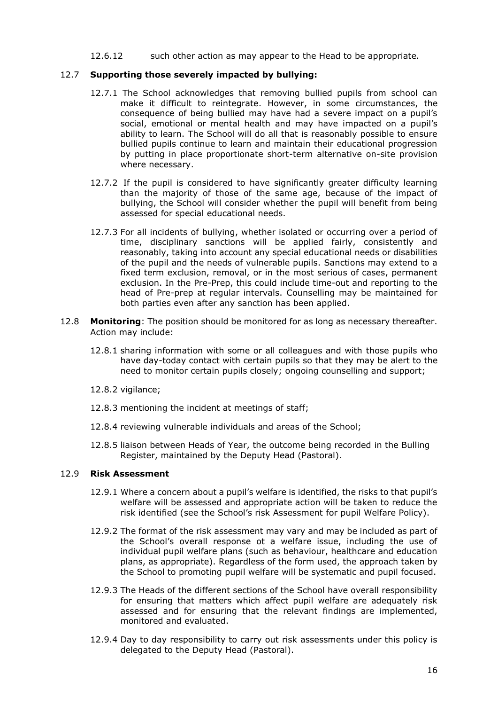#### 12.6.12 such other action as may appear to the Head to be appropriate.

# 12.7 **Supporting those severely impacted by bullying:**

- 12.7.1 The School acknowledges that removing bullied pupils from school can make it difficult to reintegrate. However, in some circumstances, the consequence of being bullied may have had a severe impact on a pupil's social, emotional or mental health and may have impacted on a pupil's ability to learn. The School will do all that is reasonably possible to ensure bullied pupils continue to learn and maintain their educational progression by putting in place proportionate short-term alternative on-site provision where necessary.
- 12.7.2 If the pupil is considered to have significantly greater difficulty learning than the majority of those of the same age, because of the impact of bullying, the School will consider whether the pupil will benefit from being assessed for special educational needs.
- 12.7.3 For all incidents of bullying, whether isolated or occurring over a period of time, disciplinary sanctions will be applied fairly, consistently and reasonably, taking into account any special educational needs or disabilities of the pupil and the needs of vulnerable pupils. Sanctions may extend to a fixed term exclusion, removal, or in the most serious of cases, permanent exclusion. In the Pre-Prep, this could include time-out and reporting to the head of Pre-prep at regular intervals. Counselling may be maintained for both parties even after any sanction has been applied.
- 12.8 **Monitoring**: The position should be monitored for as long as necessary thereafter. Action may include:
	- 12.8.1 sharing information with some or all colleagues and with those pupils who have day-today contact with certain pupils so that they may be alert to the need to monitor certain pupils closely; ongoing counselling and support;
	- 12.8.2 vigilance;
	- 12.8.3 mentioning the incident at meetings of staff;
	- 12.8.4 reviewing vulnerable individuals and areas of the School;
	- 12.8.5 liaison between Heads of Year, the outcome being recorded in the Bulling Register, maintained by the Deputy Head (Pastoral).

# 12.9 **Risk Assessment**

- 12.9.1 Where a concern about a pupil's welfare is identified, the risks to that pupil's welfare will be assessed and appropriate action will be taken to reduce the risk identified (see the School's risk Assessment for pupil Welfare Policy).
- 12.9.2 The format of the risk assessment may vary and may be included as part of the School's overall response ot a welfare issue, including the use of individual pupil welfare plans (such as behaviour, healthcare and education plans, as appropriate). Regardless of the form used, the approach taken by the School to promoting pupil welfare will be systematic and pupil focused.
- 12.9.3 The Heads of the different sections of the School have overall responsibility for ensuring that matters which affect pupil welfare are adequately risk assessed and for ensuring that the relevant findings are implemented, monitored and evaluated.
- 12.9.4 Day to day responsibility to carry out risk assessments under this policy is delegated to the Deputy Head (Pastoral).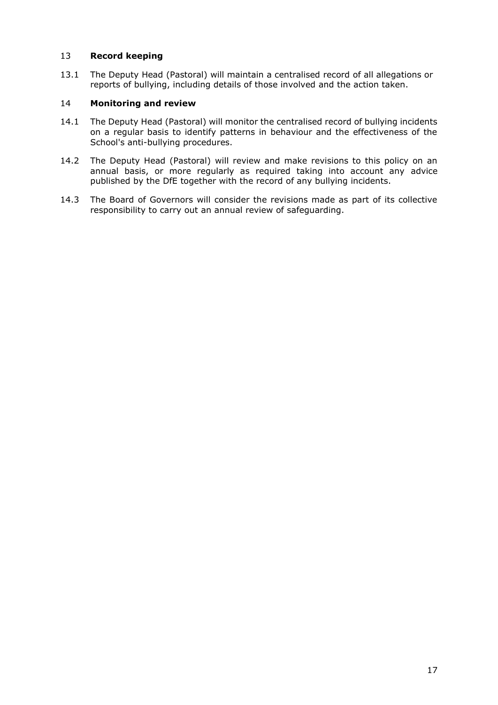# 13 **Record keeping**

13.1 The Deputy Head (Pastoral) will maintain a centralised record of all allegations or reports of bullying, including details of those involved and the action taken.

# 14 **Monitoring and review**

- 14.1 The Deputy Head (Pastoral) will monitor the centralised record of bullying incidents on a regular basis to identify patterns in behaviour and the effectiveness of the School's anti-bullying procedures.
- 14.2 The Deputy Head (Pastoral) will review and make revisions to this policy on an annual basis, or more regularly as required taking into account any advice published by the DfE together with the record of any bullying incidents.
- 14.3 The Board of Governors will consider the revisions made as part of its collective responsibility to carry out an annual review of safeguarding.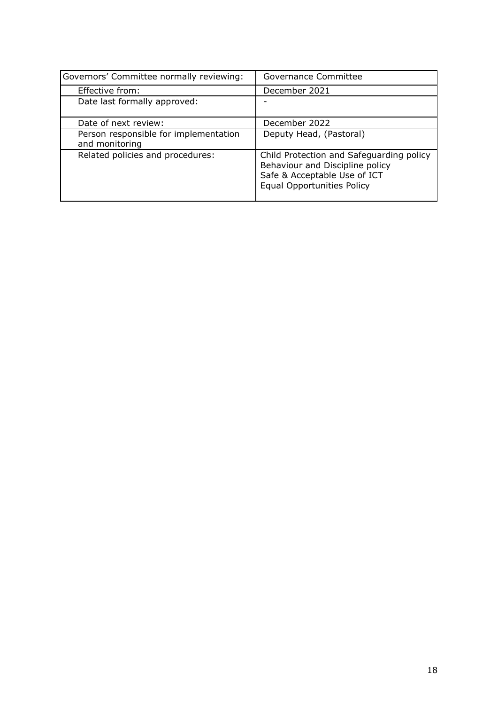| Governors' Committee normally reviewing:                | Governance Committee                                                                                                                             |
|---------------------------------------------------------|--------------------------------------------------------------------------------------------------------------------------------------------------|
| Effective from:                                         | December 2021                                                                                                                                    |
| Date last formally approved:                            |                                                                                                                                                  |
| Date of next review:                                    | December 2022                                                                                                                                    |
| Person responsible for implementation<br>and monitoring | Deputy Head, (Pastoral)                                                                                                                          |
| Related policies and procedures:                        | Child Protection and Safeguarding policy<br>Behaviour and Discipline policy<br>Safe & Acceptable Use of ICT<br><b>Equal Opportunities Policy</b> |